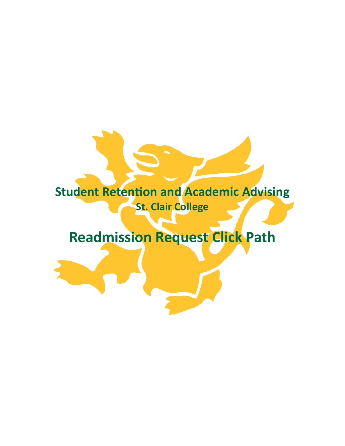## **Student Retention and Academic Advising St. Clair College**

## **Readmission Request Click Path**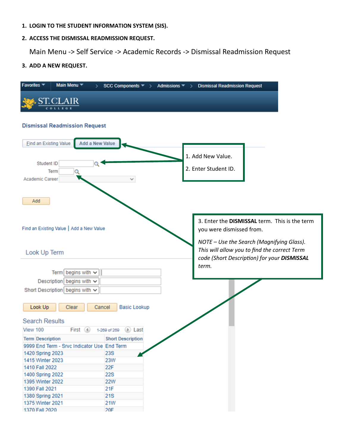- **1. LOGIN TO THE STUDENT INFORMATION SYSTEM (SIS).**
- **2. ACCESS THE DISMISSAL READMISSION REQUEST.**

Main Menu -> Self Service -> Academic Records -> Dismissal Readmission Request

**3. ADD A NEW REQUEST.**